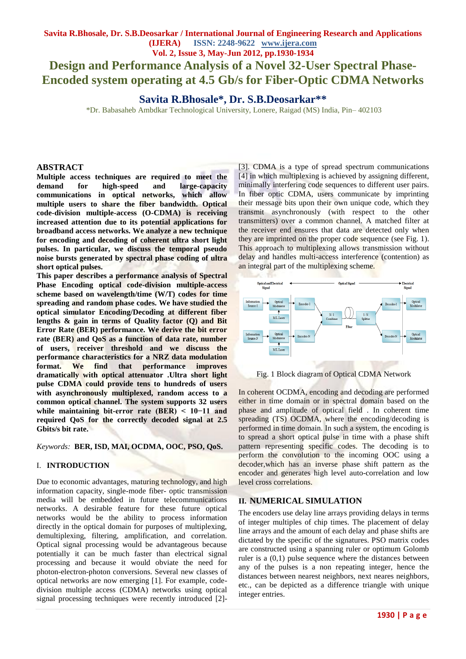# **Design and Performance Analysis of a Novel 32-User Spectral Phase-Encoded system operating at 4.5 Gb/s for Fiber-Optic CDMA Networks**

**Savita R.Bhosale\*, Dr. S.B.Deosarkar\*\***

\*Dr. Babasaheb Ambdkar Technological University, Lonere, Raigad (MS) India, Pin– 402103

## **ABSTRACT**

**Multiple access techniques are required to meet the demand for high-speed and large-capacity communications in optical networks, which allow multiple users to share the fiber bandwidth. Optical code-division multiple-access (O-CDMA) is receiving increased attention due to its potential applications for broadband access networks. We analyze a new technique for encoding and decoding of coherent ultra short light pulses. In particular, we discuss the temporal pseudo noise bursts generated by spectral phase coding of ultra short optical pulses.** 

**This paper describes a performance analysis of Spectral Phase Encoding optical code-division multiple-access scheme based on wavelength/time (W/T) codes for time spreading and random phase codes. We have studied the optical simulator Encoding/Decoding at different fiber lengths & gain in terms of Quality factor (Q) and Bit Error Rate (BER) performance. We derive the bit error rate (BER) and QoS as a function of data rate, number of users, receiver threshold and we discuss the performance characteristics for a NRZ data modulation format. We find that performance improves dramatically with optical attenuator .Ultra short light pulse CDMA could provide tens to hundreds of users with asynchronously multiplexed, random access to a common optical channel. The system supports 32 users while maintaining bit-error rate (BER) < 10−11 and required QoS for the correctly decoded signal at 2.5 Gbits/s bit rate.**

#### *Keywords:* **BER, ISD, MAI, OCDMA, OOC, PSO, QoS.**

#### I. **INTRODUCTION**

Due to economic advantages, maturing technology, and high information capacity, single-mode fiber- optic transmission media will be embedded in future telecommunications networks. A desirable feature for these future optical networks would be the ability to process information directly in the optical domain for purposes of multiplexing, demultiplexing, filtering, amplification, and correlation. Optical signal processing would be advantageous because potentially it can be much faster than electrical signal processing and because it would obviate the need for photon-electron-photon conversions. Several new classes of optical networks are now emerging [1]. For example, codedivision multiple access (CDMA) networks using optical signal processing techniques were recently introduced [2]-

[3]. CDMA is a type of spread spectrum communications [4] in which multiplexing is achieved by assigning different, minimally interfering code sequences to different user pairs. In fiber optic CDMA, users communicate by imprinting their message bits upon their own unique code, which they transmit asynchronously (with respect to the other transmitters) over a common channel. A matched filter at the receiver end ensures that data are detected only when they are imprinted on the proper code sequence (see Fig. 1). This approach to multiplexing allows transmission without delay and handles multi-access interference (contention) as an integral part of the multiplexing scheme.



Fig. 1 Block diagram of Optical CDMA Network

In coherent OCDMA, encoding and decoding are performed either in time domain or in spectral domain based on the phase and amplitude of optical field . In coherent time spreading (TS) OCDMA, where the encoding/decoding is performed in time domain. In such a system, the encoding is to spread a short optical pulse in time with a phase shift pattern representing specific codes. The decoding is to perform the convolution to the incoming OOC using a decoder,which has an inverse phase shift pattern as the encoder and generates high level auto-correlation and low level cross correlations.

#### **II. NUMERICAL SIMULATION**

The encoders use delay line arrays providing delays in terms of integer multiples of chip times. The placement of delay line arrays and the amount of each delay and phase shifts are dictated by the specific of the signatures. PSO matrix codes are constructed using a spanning ruler or optimum Golomb ruler is a (0,1) pulse sequence where the distances between any of the pulses is a non repeating integer, hence the distances between nearest neighbors, next neares neighbors, etc., can be depicted as a difference triangle with unique integer entries.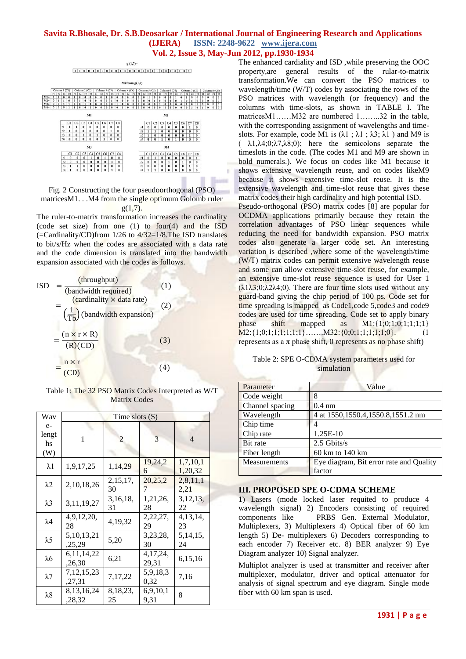

Fig. 2 Constructing the four pseudoorthogonal (PSO) matricesM1. . .M4 from the single optimum Golomb ruler  $g(1,7)$ .

The ruler-to-matrix transformation increases the cardinality (code set size) from one (1) to four(4) and the ISD (=Cardinality/CD)from 1/26 to 4/32=1/8.The ISD translates to bit/s/Hz when the codes are associated with a data rate and the code dimension is translated into the bandwidth expansion associated with the codes as follows.



Table 1: The 32 PSO Matrix Codes Interpreted as W/T Matrix Codes

| Wav                        | Time slots $(S)$        |                  |                     |                     |  |
|----------------------------|-------------------------|------------------|---------------------|---------------------|--|
| $e-$<br>lengt<br>hs<br>(W) | 1                       | 2                | 3                   | $\overline{4}$      |  |
| $\lambda$ 1                | 1,9,17,25               | 1,14,29          | 19,24,2<br>6        | 1,7,10,1<br>1,20,32 |  |
| $\lambda 2$                | 2, 10, 18, 26           | 2,15,17,<br>30   | 20,25,2             | 2,8,11,1<br>2,21    |  |
| $\lambda$ 3                | 3, 11, 19, 27           | 3,16,18,<br>31   | 1, 21, 26,<br>28    | 3,12,13,<br>22      |  |
| $\lambda$ 4                | 4,9,12,20,<br>28        | 4,19,32          | 2, 22, 27,<br>29    | 4,13,14,<br>23      |  |
| $\lambda$ 5                | 5, 10, 13, 21<br>,25,29 | 5,20             | 3,23,28,<br>30      | 5, 14, 15,<br>24    |  |
| λ6                         | 6, 11, 14, 22<br>,26,30 | 6,21             | 4, 17, 24,<br>29,31 | 6,15,16             |  |
| $\lambda$ 7                | 7, 12, 15, 23<br>,27,31 | 7,17,22          | 5,9,18,3<br>0,32    | 7,16                |  |
| $\lambda 8$                | 8,13,16,24<br>,28,32    | 8, 18, 23,<br>25 | 6,9,10,1<br>9.31    | 8                   |  |

The enhanced cardiality and ISD ,while preserving the OOC property,are general results of the rular-to-matrix transformation.We can convert the PSO matrices to wavelength/time (W/T) codes by associating the rows of the PSO matrices with wavelength (or frequency) and the columns with time-slots, as shown in TABLE I. The matricesM1……M32 are numbered 1……..32 in the table, with the corresponding assignment of wavelengths and timeslots. For example, code M1 is  $(\lambda 1 : \lambda 1 : \lambda 3 : \lambda 1)$  and M9 is  $(\lambda 1, \lambda 4; 0; \lambda 7, \lambda 8; 0)$ ; here the semicolons separate the timeslots in the code. (The codes M1 and M9 are shown in bold numerals.). We focus on codes like M1 because it shows extensive wavelength reuse, and on codes likeM9 because it shows extensive time-slot reuse. It is the extensive wavelength and time-slot reuse that gives these matrix codes their high cardinality and high potential ISD.

Pseudo-orthogonal (PSO) matrix codes [8] are popular for OCDMA applications primarily because they retain the correlation advantages of PSO linear sequences while reducing the need for bandwidth expansion. PSO matrix codes also generate a larger code set. An interesting variation is described ,where some of the wavelength/time (W/T) matrix codes can permit extensive wavelength reuse and some can allow extensive time-slot reuse, for example, an extensive time-slot reuse sequence is used for User 1  $(\lambda 1\lambda 3; 0; \lambda 2\lambda 4; 0)$ . There are four time slots used without any guard-band giving the chip period of 100 ps. Code set for time spreading is mapped as Code1, code 5, code3 and code9 codes are used for time spreading. Code set to apply binary phase shift mapped as  $M1:\{1;0;1;0;1;1;1;1\}$  $M2:\{1;0;1;1;1;1;1;1\}$  ....... $M32:\{0;0;1;1;1;1;1;0\}$ . (1 represents as a  $\pi$  phase shift, 0 represents as no phase shift)

| Table 2: SPE O-CDMA system parameters used for |  |
|------------------------------------------------|--|
| simulation                                     |  |

| Parameter       | Value                                   |  |
|-----------------|-----------------------------------------|--|
| Code weight     | 8                                       |  |
| Channel spacing | $0.4 \text{ nm}$                        |  |
| Wavelength      | 4 at 1550, 1550. 4, 1550. 8, 1551. 2 nm |  |
| Chip time       |                                         |  |
| Chip rate       | $1.25E-10$                              |  |
| <b>Bit rate</b> | $2.5$ Gbits/s                           |  |
| Fiber length    | 60 km to 140 km                         |  |
| Measurements    | Eye diagram, Bit error rate and Quality |  |
|                 | factor                                  |  |

#### **III. PROPOSED SPE O-CDMA SCHEME**

1) Lasers (mode locked laser requited to produce 4 wavelength signal) 2) Encoders consisting of required components like PRBS Gen. External Modulator, Multiplexers, 3) Multiplexers 4) Optical fiber of 60 km length 5) De- multiplexers 6) Decoders corresponding to each encoder 7) Receiver etc. 8) BER analyzer 9) Eye Diagram analyzer 10) Signal analyzer.

Multiplot analyzer is used at transmitter and receiver after multiplexer, modulator, driver and optical attenuator for analysis of signal spectrum and eye diagram. Single mode fiber with 60 km span is used.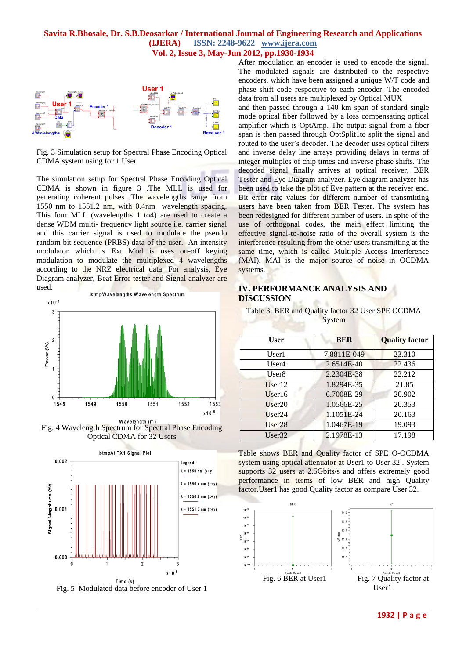

Fig. 3 Simulation setup for Spectral Phase Encoding Optical CDMA system using for 1 User

The simulation setup for Spectral Phase Encoding Optical CDMA is shown in figure 3 .The MLL is used for generating coherent pulses .The wavelengths range from 1550 nm to 1551.2 nm, with 0.4nm wavelength spacing. This four MLL (wavelengths 1 to4) are used to create a dense WDM multi- frequency light source i.e. carrier signal and this carrier signal is used to modulate the pseudo random bit sequence (PRBS) data of the user. An intensity modulator which is Ext Mod is uses on-off keying modulation to modulate the multiplexed 4 wavelengths according to the NRZ electrical data. For analysis, Eye Diagram analyzer, Beat Error tester and Signal analyzer are used.



Fig. 4 Wavelength Spectrum for Spectral Phase Encoding Optical CDMA for 32 Users



Fig. 5 Modulated data before encoder of User 1

After modulation an encoder is used to encode the signal. The modulated signals are distributed to the respective encoders, which have been assigned a unique W/T code and phase shift code respective to each encoder. The encoded data from all users are multiplexed by Optical MUX

and then passed through a 140 km span of standard single mode optical fiber followed by a loss compensating optical amplifier which is OptAmp. The output signal from a fiber span is then passed through OptSplit1to split the signal and routed to the user's decoder. The decoder uses optical filters and inverse delay line arrays providing delays in terms of integer multiples of chip times and inverse phase shifts. The decoded signal finally arrives at optical receiver, BER Tester and Eye Diagram analyzer. Eye diagram analyzer has been used to take the plot of Eye pattern at the receiver end. Bit error rate values for different number of transmitting users have been taken from BER Tester. The system has been redesigned for different number of users. In spite of the use of orthogonal codes, the main effect limiting the effective signal-to-noise ratio of the overall system is the interference resulting from the other users transmitting at the same time, which is called Multiple Access Interference (MAI). MAI is the major source of noise in OCDMA systems.

# **IV. PERFORMANCE ANALYSIS AND DISCUSSION**

Table 3: BER and Quality factor 32 User SPE OCDMA System

| User              | <b>BER</b>  | <b>Quality factor</b> |
|-------------------|-------------|-----------------------|
| User1             | 7.8811E-049 | 23.310                |
| User4             | 2.6514E-40  | 22.436                |
| User <sub>8</sub> | 2.2304E-38  | 22.212                |
| User12            | 1.8294E-35  | 21.85                 |
| User16            | 6.7008E-29  | 20.902                |
| User20            | 1.0566E-25  | 20.353                |
| User24            | 1.1051E-24  | 20.163                |
| User28            | 1.0467E-19  | 19.093                |
| User32            | 2.1978E-13  | 17.198                |
|                   |             |                       |

Table shows BER and Quality factor of SPE O-OCDMA system using optical attenuator at User1 to User 32. System supports 32 users at 2.5Gbits/s and offers extremely good performance in terms of low BER and high Quality factor.User1 has good Quality factor as compare User 32.

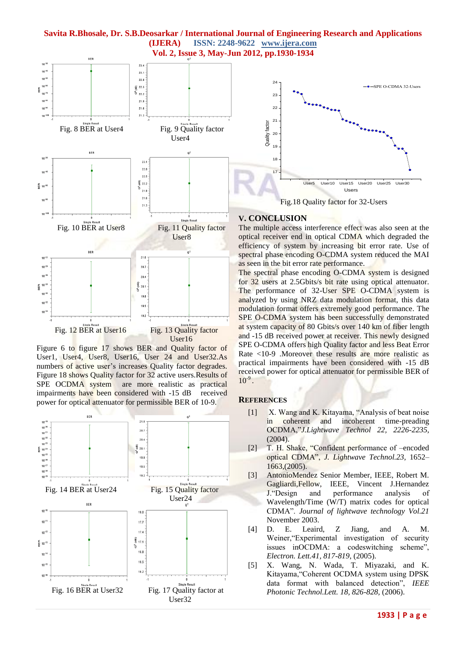



Figure 6 to figure 17 shows BER and Quality factor of User1, User4, User8, User16, User 24 and User32.As numbers of active user's increases Quality factor degrades. Figure 18 shows Quality factor for 32 active users.Results of SPE OCDMA system are more realistic as practical impairments have been considered with -15 dB received power for optical attenuator for permissible BER of 10-9.



#### The multiple access interference effect was also seen at the optical receiver end in optical CDMA which degraded the efficiency of system by increasing bit error rate. Use of spectral phase encoding O-CDMA system reduced the MAI as seen in the bit error rate performance.

The spectral phase encoding O-CDMA system is designed for 32 users at 2.5Gbits/s bit rate using optical attenuator. The performance of 32-User SPE O-CDMA system is analyzed by using NRZ data modulation format, this data modulation format offers extremely good performance. The SPE O-CDMA system has been successfully demonstrated at system capacity of 80 Gbits/s over 140 km of fiber length and -15 dB received power at receiver. This newly designed SPE O-CDMA offers high Quality factor and less Beat Error Rate <10-9 .Moreover these results are more realistic as practical impairments have been considered with -15 dB received power for optical attenuator for permissible BER of  $10^{-9}$ .

#### **REFERENCES**

- [1] X. Wang and K. Kitayama, "Analysis of beat noise in coherent and incoherent time-preading OCDMA,"*J.Lightwave Technol 22, 2226-2235,*  (2004).
- [2] T. H. Shake, "Confident performance of –encoded optical CDMA", *J. Lightwave Technol.23,* 1652– 1663,(2005).
- [3] AntonioMendez Senior Member, IEEE, Robert M. Gagliardi,Fellow, IEEE, Vincent J.Hernandez J."Design and performance analysis of Wavelength/Time (W/T) matrix codes for optical CDMA". *Journal of lightwave technology Vol.21* November 2003.
- [4] D. E. Leaird, Z Jiang, and A. M. Weiner,"Experimental investigation of security issues inOCDMA: a codeswitching scheme", *Electron. Lett.41, 817-819*, (2005).
- [5] X. Wang, N. Wada, T. Miyazaki, and K. Kitayama,"Coherent OCDMA system using DPSK data format with balanced detection", *IEEE Photonic Technol.Lett. 18, 826-828,* (2006).